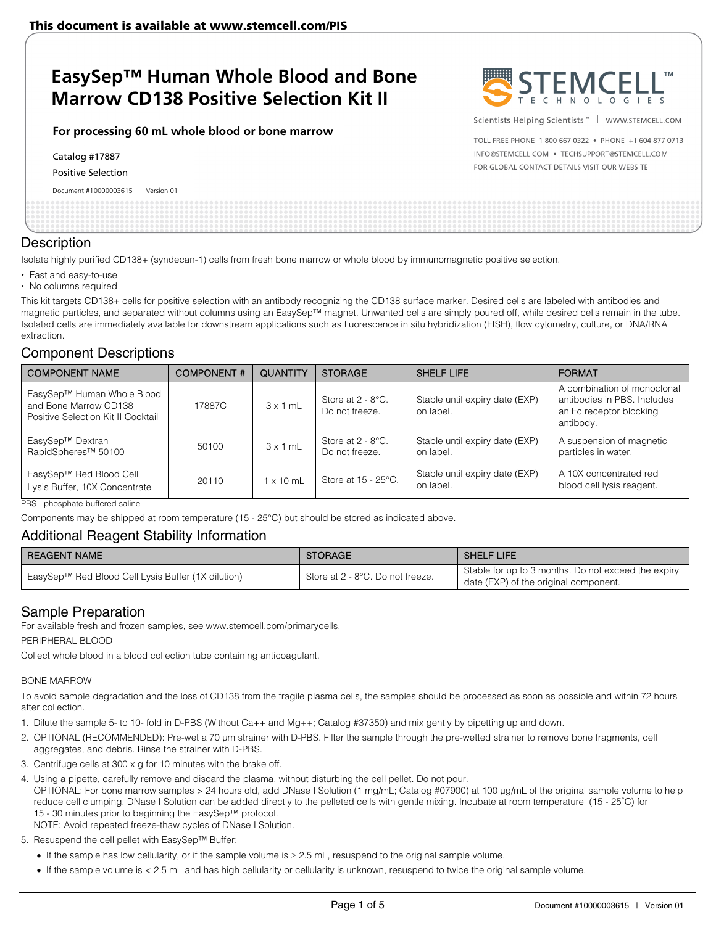# **EasySep™ Human Whole Blood and Bone Marrow CD138 Positive Selection Kit II**

#### **For processing 60 mL whole blood or bone marrow**

Catalog #17887

Positive Selection

Document #10000003615 | Version 01



Scientists Helping Scientists<sup>™</sup> | WWW.STEMCELL.COM

TOLL FREE PHONE 1 800 667 0322 . PHONE +1 604 877 0713 INFO@STEMCELL.COM . TECHSUPPORT@STEMCELL.COM FOR GLOBAL CONTACT DETAILS VISIT OUR WEBSITE

#### **Description**

Isolate highly purified CD138+ (syndecan-1) cells from fresh bone marrow or whole blood by immunomagnetic positive selection.

- Fast and easy-to-use
- No columns required

This kit targets CD138+ cells for positive selection with an antibody recognizing the CD138 surface marker. Desired cells are labeled with antibodies and magnetic particles, and separated without columns using an EasySep™ magnet. Unwanted cells are simply poured off, while desired cells remain in the tube. Isolated cells are immediately available for downstream applications such as fluorescence in situ hybridization (FISH), flow cytometry, culture, or DNA/RNA extraction.

## Component Descriptions

| <b>COMPONENT NAME</b>                                                                     | <b>COMPONENT#</b> | <b>QUANTITY</b>  | <b>STORAGE</b>                         | <b>SHELF LIFE</b>                           | <b>FORMAT</b>                                                                                      |
|-------------------------------------------------------------------------------------------|-------------------|------------------|----------------------------------------|---------------------------------------------|----------------------------------------------------------------------------------------------------|
| EasySep™ Human Whole Blood<br>and Bone Marrow CD138<br>Positive Selection Kit II Cocktail | 17887C            | $3 \times 1$ mL  | Store at $2 - 8$ °C.<br>Do not freeze. | Stable until expiry date (EXP)<br>on label. | A combination of monoclonal<br>antibodies in PBS. Includes<br>an Fc receptor blocking<br>antibody. |
| EasySep™ Dextran<br>RapidSpheres <sup>™</sup> 50100                                       | 50100             | $3 \times 1$ mL  | Store at $2 - 8$ °C.<br>Do not freeze. | Stable until expiry date (EXP)<br>on label. | A suspension of magnetic<br>particles in water.                                                    |
| EasySep™ Red Blood Cell<br>Lysis Buffer, 10X Concentrate                                  | 20110             | $1 \times 10$ mL | Store at 15 - 25°C.                    | Stable until expiry date (EXP)<br>on label. | A 10X concentrated red<br>blood cell lysis reagent.                                                |

PBS - phosphate-buffered saline

Components may be shipped at room temperature (15 - 25°C) but should be stored as indicated above.

### Additional Reagent Stability Information

| <b>REAGENT NAME</b>                                | <b>STORAGE</b>                   | <b>SHELF LIFE</b>                                                                            |
|----------------------------------------------------|----------------------------------|----------------------------------------------------------------------------------------------|
| EasySep™ Red Blood Cell Lysis Buffer (1X dilution) | Store at 2 - 8°C. Do not freeze. | Stable for up to 3 months. Do not exceed the expiry<br>date (EXP) of the original component. |

# Sample Preparation

For available fresh and frozen samples, see www.stemcell.com/primarycells.

PERIPHERAL BLOOD

Collect whole blood in a blood collection tube containing anticoagulant.

#### BONE MARROW

To avoid sample degradation and the loss of CD138 from the fragile plasma cells, the samples should be processed as soon as possible and within 72 hours after collection.

1. Dilute the sample 5- to 10- fold in D-PBS (Without Ca++ and Mg++; Catalog #37350) and mix gently by pipetting up and down.

- 2. OPTIONAL (RECOMMENDED): Pre-wet a 70 μm strainer with D-PBS. Filter the sample through the pre-wetted strainer to remove bone fragments, cell aggregates, and debris. Rinse the strainer with D-PBS.
- 3. Centrifuge cells at 300 x g for 10 minutes with the brake off.
- 4. Using a pipette, carefully remove and discard the plasma, without disturbing the cell pellet. Do not pour.

OPTIONAL: For bone marrow samples > 24 hours old, add DNase I Solution (1 mg/mL; Catalog #07900) at 100 μg/mL of the original sample volume to help reduce cell clumping. DNase I Solution can be added directly to the pelleted cells with gentle mixing. Incubate at room temperature (15 - 25˚C) for 15 - 30 minutes prior to beginning the EasySep™ protocol. NOTE: Avoid repeated freeze-thaw cycles of DNase I Solution.

5. Resuspend the cell pellet with EasySep™ Buffer:

If the sample has low cellularity, or if the sample volume is ≥ 2.5 mL, resuspend to the original sample volume.

If the sample volume is < 2.5 mL and has high cellularity or cellularity is unknown, resuspend to twice the original sample volume.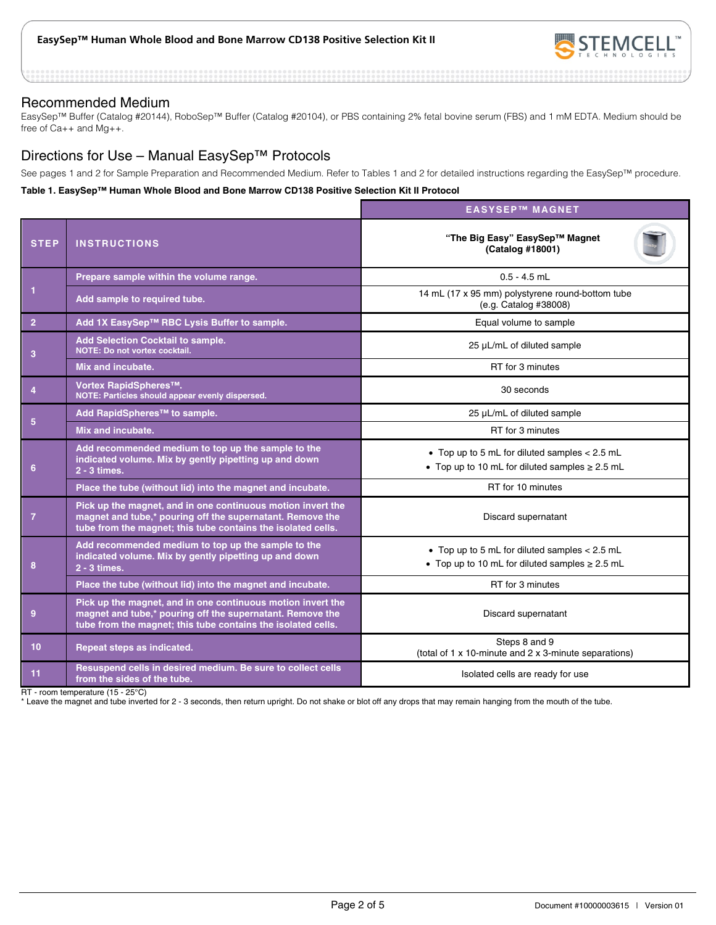

#### Recommended Medium

EasySep™ Buffer (Catalog #20144), RoboSep™ Buffer (Catalog #20104), or PBS containing 2% fetal bovine serum (FBS) and 1 mM EDTA. Medium should be free of Ca++ and Mg++.

# Directions for Use – Manual EasySep™ Protocols

See pages 1 and 2 for Sample Preparation and Recommended Medium. Refer to Tables 1 and 2 for detailed instructions regarding the EasySep™ procedure.

#### **Table 1. EasySep™ Human Whole Blood and Bone Marrow CD138 Positive Selection Kit II Protocol**

|                 |                                                                                                                                                                                          | <b>EASYSEP™ MAGNET</b>                                                                                 |  |  |
|-----------------|------------------------------------------------------------------------------------------------------------------------------------------------------------------------------------------|--------------------------------------------------------------------------------------------------------|--|--|
| <b>STEP</b>     | <b>INSTRUCTIONS</b>                                                                                                                                                                      | "The Big Easy" EasySep™ Magnet<br>(Catalog #18001)                                                     |  |  |
| 1               | Prepare sample within the volume range.                                                                                                                                                  | $0.5 - 4.5$ mL                                                                                         |  |  |
|                 | Add sample to required tube.                                                                                                                                                             | 14 mL (17 x 95 mm) polystyrene round-bottom tube<br>(e.g. Catalog #38008)                              |  |  |
| $\overline{2}$  | Add 1X EasySep™ RBC Lysis Buffer to sample.                                                                                                                                              | Equal volume to sample                                                                                 |  |  |
| 3               | <b>Add Selection Cocktail to sample.</b><br>NOTE: Do not vortex cocktail.                                                                                                                | 25 µL/mL of diluted sample                                                                             |  |  |
|                 | Mix and incubate.                                                                                                                                                                        | RT for 3 minutes                                                                                       |  |  |
| $\overline{4}$  | Vortex RapidSpheres™.<br>NOTE: Particles should appear evenly dispersed.                                                                                                                 | 30 seconds                                                                                             |  |  |
| $5\phantom{.0}$ | Add RapidSpheres™ to sample.                                                                                                                                                             | 25 µL/mL of diluted sample                                                                             |  |  |
|                 | Mix and incubate.                                                                                                                                                                        | RT for 3 minutes                                                                                       |  |  |
| 6               | Add recommended medium to top up the sample to the<br>indicated volume. Mix by gently pipetting up and down<br>2 - 3 times.                                                              | • Top up to 5 mL for diluted samples < 2.5 mL<br>• Top up to 10 mL for diluted samples $\geq$ 2.5 mL   |  |  |
|                 | Place the tube (without lid) into the magnet and incubate.                                                                                                                               | RT for 10 minutes                                                                                      |  |  |
| $\overline{7}$  | Pick up the magnet, and in one continuous motion invert the<br>magnet and tube,* pouring off the supernatant. Remove the<br>tube from the magnet; this tube contains the isolated cells. | Discard supernatant                                                                                    |  |  |
| 8               | Add recommended medium to top up the sample to the<br>indicated volume. Mix by gently pipetting up and down<br>2 - 3 times.                                                              | • Top up to 5 mL for diluted samples $< 2.5$ mL<br>• Top up to 10 mL for diluted samples $\geq$ 2.5 mL |  |  |
|                 | Place the tube (without lid) into the magnet and incubate.                                                                                                                               | RT for 3 minutes                                                                                       |  |  |
| $\overline{9}$  | Pick up the magnet, and in one continuous motion invert the<br>magnet and tube,* pouring off the supernatant. Remove the<br>tube from the magnet; this tube contains the isolated cells. | Discard supernatant                                                                                    |  |  |
| 10 <sup>°</sup> | Repeat steps as indicated.                                                                                                                                                               | Steps 8 and 9<br>(total of 1 x 10-minute and 2 x 3-minute separations)                                 |  |  |
| 11              | Resuspend cells in desired medium. Be sure to collect cells<br>from the sides of the tube.                                                                                               | Isolated cells are ready for use                                                                       |  |  |

RT - room temperature (15 - 25°C)

\* Leave the magnet and tube inverted for 2 - 3 seconds, then return upright. Do not shake or blot off any drops that may remain hanging from the mouth of the tube.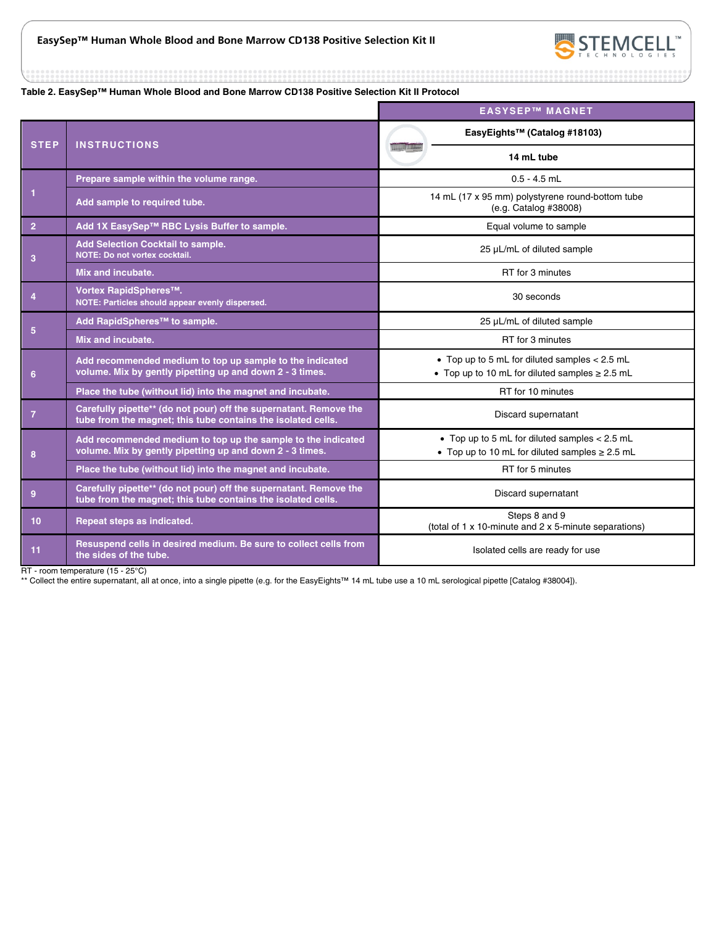

**Table 2. EasySep™ Human Whole Blood and Bone Marrow CD138 Positive Selection Kit II Protocol** 

|                 |                                                                                                                                   | <b>EASYSEP™ MAGNET</b>                                                                                 |  |
|-----------------|-----------------------------------------------------------------------------------------------------------------------------------|--------------------------------------------------------------------------------------------------------|--|
| <b>STEP</b>     | <b>INSTRUCTIONS</b>                                                                                                               | EasyEights <sup>™</sup> (Catalog #18103)                                                               |  |
|                 |                                                                                                                                   | 14 mL tube                                                                                             |  |
| $\mathbf 1$     | Prepare sample within the volume range.                                                                                           | $0.5 - 4.5$ mL                                                                                         |  |
|                 | Add sample to required tube.                                                                                                      | 14 mL (17 x 95 mm) polystyrene round-bottom tube<br>(e.g. Catalog #38008)                              |  |
| $\overline{2}$  | Add 1X EasySep™ RBC Lysis Buffer to sample.                                                                                       | Equal volume to sample                                                                                 |  |
| 3               | <b>Add Selection Cocktail to sample.</b><br><b>NOTE: Do not vortex cocktail.</b>                                                  | 25 µL/mL of diluted sample                                                                             |  |
|                 | Mix and incubate.                                                                                                                 | RT for 3 minutes                                                                                       |  |
| $\overline{4}$  | Vortex RapidSpheres™.<br>NOTE: Particles should appear evenly dispersed.                                                          | 30 seconds                                                                                             |  |
|                 | Add RapidSpheres™ to sample.                                                                                                      | 25 µL/mL of diluted sample                                                                             |  |
| $5\phantom{.0}$ | Mix and incubate.                                                                                                                 | RT for 3 minutes                                                                                       |  |
| 6               | Add recommended medium to top up sample to the indicated<br>volume. Mix by gently pipetting up and down 2 - 3 times.              | • Top up to 5 mL for diluted samples $< 2.5$ mL<br>• Top up to 10 mL for diluted samples $\geq$ 2.5 mL |  |
|                 | Place the tube (without lid) into the magnet and incubate.                                                                        | RT for 10 minutes                                                                                      |  |
| $\overline{7}$  | Carefully pipette** (do not pour) off the supernatant. Remove the<br>tube from the magnet; this tube contains the isolated cells. | Discard supernatant                                                                                    |  |
| 8               | Add recommended medium to top up the sample to the indicated<br>volume. Mix by gently pipetting up and down 2 - 3 times.          | • Top up to 5 mL for diluted samples $< 2.5$ mL<br>• Top up to 10 mL for diluted samples $\geq$ 2.5 mL |  |
|                 | Place the tube (without lid) into the magnet and incubate.                                                                        | RT for 5 minutes                                                                                       |  |
| 9               | Carefully pipette** (do not pour) off the supernatant. Remove the<br>tube from the magnet; this tube contains the isolated cells. | Discard supernatant                                                                                    |  |
| 10 <sup>°</sup> | Repeat steps as indicated.                                                                                                        | Steps 8 and 9<br>(total of 1 x 10-minute and 2 x 5-minute separations)                                 |  |
| 11              | Resuspend cells in desired medium. Be sure to collect cells from<br>the sides of the tube.                                        | Isolated cells are ready for use                                                                       |  |

RT - room temperature (15 - 25°C)

\*\* Collect the entire supernatant, all at once, into a single pipette (e.g. for the EasyEights™ 14 mL tube use a 10 mL serological pipette [Catalog #38004]).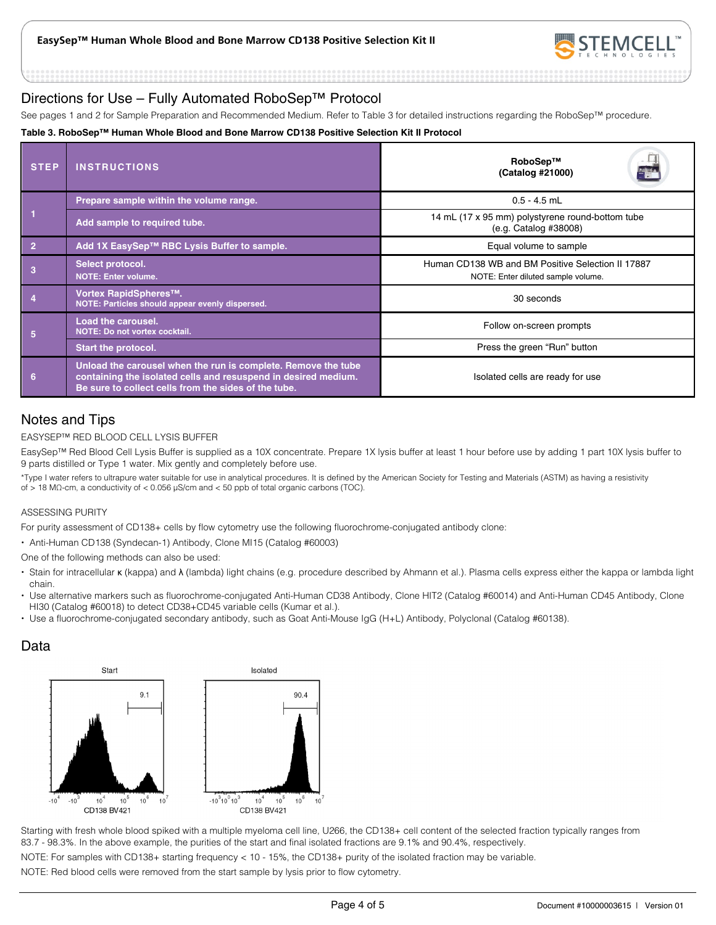

# Directions for Use – Fully Automated RoboSep™ Protocol

See pages 1 and 2 for Sample Preparation and Recommended Medium. Refer to Table 3 for detailed instructions regarding the RoboSep™ procedure.

#### **Table 3. RoboSep™ Human Whole Blood and Bone Marrow CD138 Positive Selection Kit II Protocol**

| <b>STEP</b>    | <b>INSTRUCTIONS</b>                                                                                                                                                                     | RoboSep™<br>E.<br>(Catalog #21000)                                                      |  |
|----------------|-----------------------------------------------------------------------------------------------------------------------------------------------------------------------------------------|-----------------------------------------------------------------------------------------|--|
|                | Prepare sample within the volume range.                                                                                                                                                 | $0.5 - 4.5$ mL                                                                          |  |
|                | Add sample to required tube.                                                                                                                                                            | 14 mL (17 x 95 mm) polystyrene round-bottom tube<br>(e.g. Catalog #38008)               |  |
| $\overline{2}$ | Add 1X EasySep™ RBC Lysis Buffer to sample.                                                                                                                                             | Equal volume to sample                                                                  |  |
|                | Select protocol.<br><b>NOTE: Enter volume.</b>                                                                                                                                          | Human CD138 WB and BM Positive Selection II 17887<br>NOTE: Enter diluted sample volume. |  |
|                | Vortex RapidSpheres™.<br>NOTE: Particles should appear evenly dispersed.                                                                                                                | 30 seconds                                                                              |  |
| 5              | <b>Load the carousel.</b><br>NOTE: Do not vortex cocktail.                                                                                                                              | Follow on-screen prompts                                                                |  |
|                | <b>Start the protocol.</b>                                                                                                                                                              | Press the green "Run" button                                                            |  |
| 6              | Unload the carousel when the run is complete. Remove the tube<br>containing the isolated cells and resuspend in desired medium.<br>Be sure to collect cells from the sides of the tube. | Isolated cells are ready for use                                                        |  |

# Notes and Tips

#### EASYSEP™ RED BLOOD CELL LYSIS BUFFER

EasySep™ Red Blood Cell Lysis Buffer is supplied as a 10X concentrate. Prepare 1X lysis buffer at least 1 hour before use by adding 1 part 10X lysis buffer to 9 parts distilled or Type 1 water. Mix gently and completely before use.

\*Type I water refers to ultrapure water suitable for use in analytical procedures. It is defined by the American Society for Testing and Materials (ASTM) as having a resistivity of > 18 MΩ-cm, a conductivity of < 0.056 μS/cm and < 50 ppb of total organic carbons (TOC).

#### ASSESSING PURITY

For purity assessment of CD138+ cells by flow cytometry use the following fluorochrome-conjugated antibody clone:

Anti-Human CD138 (Syndecan-1) Antibody, Clone MI15 (Catalog #60003)

One of the following methods can also be used:

- Stain for intracellular κ (kappa) and λ (lambda) light chains (e.g. procedure described by Ahmann et al.). Plasma cells express either the kappa or lambda light chain.
- Use alternative markers such as fluorochrome-conjugated Anti-Human CD38 Antibody, Clone HIT2 (Catalog #60014) and Anti-Human CD45 Antibody, Clone HI30 (Catalog #60018) to detect CD38+CD45 variable cells (Kumar et al.).
- Use a fluorochrome-conjugated secondary antibody, such as Goat Anti-Mouse IgG (H+L) Antibody, Polyclonal (Catalog #60138).

# Data



Starting with fresh whole blood spiked with a multiple myeloma cell line, U266, the CD138+ cell content of the selected fraction typically ranges from 83.7 - 98.3%. In the above example, the purities of the start and final isolated fractions are 9.1% and 90.4%, respectively.

NOTE: For samples with CD138+ starting frequency < 10 - 15%, the CD138+ purity of the isolated fraction may be variable.

NOTE: Red blood cells were removed from the start sample by lysis prior to flow cytometry.